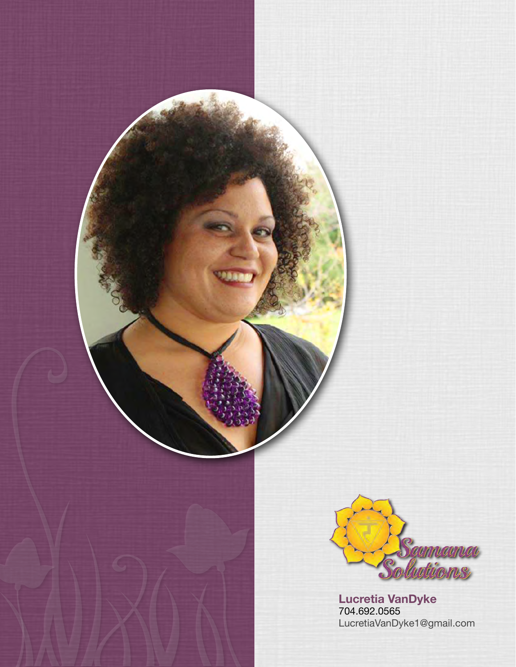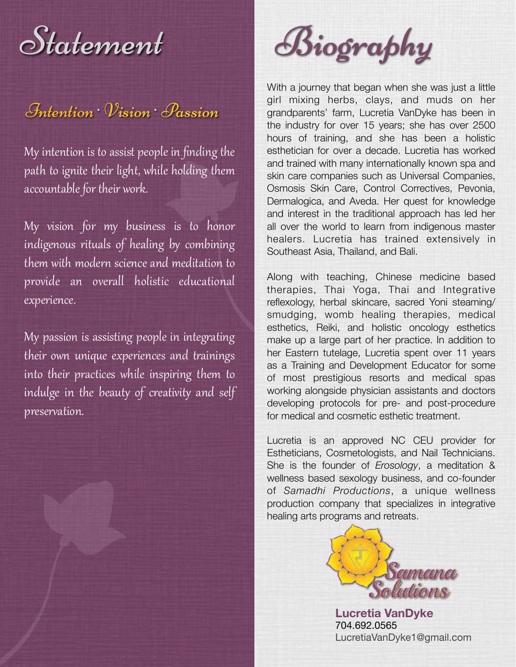# $\mathcal{I}_{n}$ tention  $\mathcal{V}_{ision}$  Passion

My intention is to assist people in finding the path to ignite their light, while holding them accountable for their work.

My vision for my business is to honor indigenous rituals of healing by combining them with modern science and meditation to provide an overall holistic educational experience.

My passion is assisting people in integrating their own unique experiences and trainings into their practices while inspiring them to indulge in the beauty of creativity and self preservation.



With a journey that began when she was just a little girl mixing herbs, clays, and muds on her grandparents' farm, Lucretia VanDyke has been in the industry for over 15 years; she has over 2500 hours of training, and she has been a holistic esthetician for over a decade. Lucretia has worked and trained with many internationally known spa and skin care companies such as Universal Companies, Osmosis Skin Care, Control Correctives, Pevonia, Dermalogica, and Aveda. Her quest for knowledge and interest in the traditional approach has led her all over the world to learn from indigenous master healers. Lucretia has trained extensively in Southeast Asia, Thailand, and Bali.

Along with teaching, Chinese medicine based therapies, Thai Yoga, Thai and Integrative reflexology, herbal skincare, sacred Yoni steaming/ smudging, womb healing therapies, medical esthetics, Reiki, and holistic oncology esthetics make up a large part of her practice. In addition to her Eastern tutelage, Lucretia spent over 11 years as a Training and Development Educator for some of most prestigious resorts and medical spas working alongside physician assistants and doctors developing protocols for pre- and post-procedure for medical and cosmetic esthetic treatment.

Lucretia is an approved NC CEU provider for Estheticians, Cosmetologists, and Nail Technicians. She is the founder of *Erosology*, a meditation & wellness based sexology business, and co-founder of *Samadhi Productions*, a unique wellness production company that specializes in integrative healing arts programs and retreats.

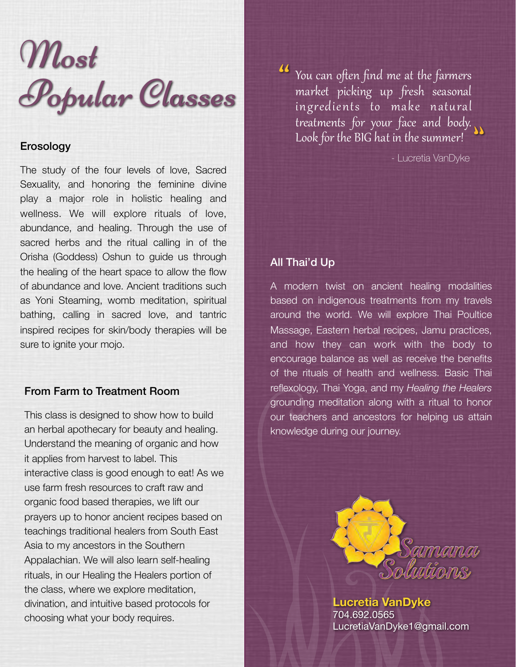

# Erosology

The study of the four levels of love, Sacred Sexuality, and honoring the feminine divine play a major role in holistic healing and wellness. We will explore rituals of love, abundance, and healing. Through the use of sacred herbs and the ritual calling in of the Orisha (Goddess) Oshun to guide us through the healing of the heart space to allow the flow of abundance and love. Ancient traditions such as Yoni Steaming, womb meditation, spiritual bathing, calling in sacred love, and tantric inspired recipes for skin/body therapies will be sure to ignite your mojo.

# From Farm to Treatment Room

This class is designed to show how to build an herbal apothecary for beauty and healing. Understand the meaning of organic and how it applies from harvest to label. This interactive class is good enough to eat! As we use farm fresh resources to craft raw and organic food based therapies, we lift our prayers up to honor ancient recipes based on teachings traditional healers from South East Asia to my ancestors in the Southern Appalachian. We will also learn self-healing rituals, in our Healing the Healers portion of the class, where we explore meditation, divination, and intuitive based protocols for choosing what your body requires.

You can often find me at the farmers market picking up fresh seasonal ingredients to make natural treatments for your face and body. Look for the BIG hat in the summer! ""

- Lucretia VanDyke

# All Thai'd Up

A modern twist on ancient healing modalities based on indigenous treatments from my travels around the world. We will explore Thai Poultice Massage, Eastern herbal recipes, Jamu practices, and how they can work with the body to encourage balance as well as receive the benefits of the rituals of health and wellness. Basic Thai reflexology, Thai Yoga, and my *Healing the Healers* grounding meditation along with a ritual to honor our teachers and ancestors for helping us attain knowledge during our journey.

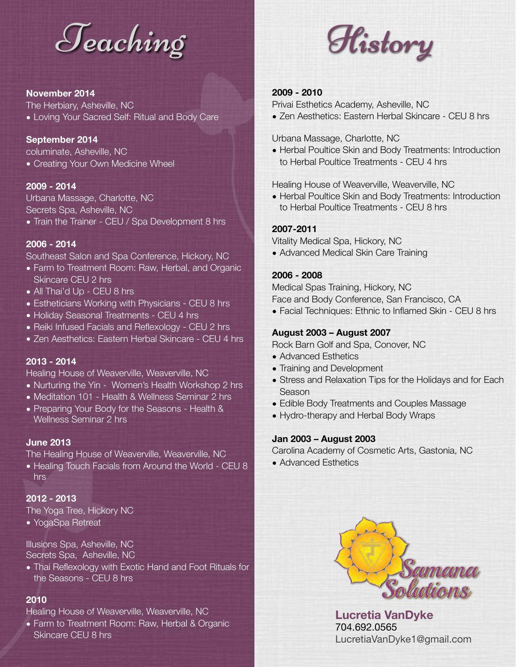

#### **November 2014**

The Herbiary, Asheville, NC

• Loving Your Sacred Self: Ritual and Body Care

#### **September 2014**

columinate, Asheville, NC • Creating Your Own Medicine Wheel

#### **2009 - 2014**

Urbana Massage, Charlotte, NC Secrets Spa, Asheville, NC • Train the Trainer - CEU / Spa Development 8 hrs

#### **2006 - 2014**

Southeast Salon and Spa Conference, Hickory, NC

- Farm to Treatment Room: Raw, Herbal, and Organic Skincare CEU 2 hrs
- All Thai'd Up CEU 8 hrs
- Estheticians Working with Physicians CEU 8 hrs
- Holiday Seasonal Treatments CEU 4 hrs
- Reiki Infused Facials and Reflexology CEU 2 hrs
- Zen Aesthetics: Eastern Herbal Skincare CEU 4 hrs

### **2013 - 2014**

Healing House of Weaverville, Weaverville, NC

- Nurturing the Yin Women's Health Workshop 2 hrs
- Meditation 101 Health & Wellness Seminar 2 hrs
- Preparing Your Body for the Seasons Health & Wellness Seminar 2 hrs

#### **June 2013**

The Healing House of Weaverville, Weaverville, NC

• Healing Touch Facials from Around the World - CEU 8 hrs

#### **2012 - 2013**

The Yoga Tree, Hickory NC

• YogaSpa Retreat

Illusions Spa, Asheville, NC Secrets Spa, Asheville, NC

• Thai Reflexology with Exotic Hand and Foot Rituals for the Seasons - CEU 8 hrs

## **2010**

Healing House of Weaverville, Weaverville, NC

• Farm to Treatment Room: Raw, Herbal & Organic Skincare CEU 8 hrs



#### **2009 - 2010**

Privai Esthetics Academy, Asheville, NC

• Zen Aesthetics: Eastern Herbal Skincare - CEU 8 hrs

Urbana Massage, Charlotte, NC

• Herbal Poultice Skin and Body Treatments: Introduction to Herbal Poultice Treatments - CEU 4 hrs

Healing House of Weaverville, Weaverville, NC

• Herbal Poultice Skin and Body Treatments: Introduction to Herbal Poultice Treatments - CEU 8 hrs

#### **2007-2011**

Vitality Medical Spa, Hickory, NC

• Advanced Medical Skin Care Training

#### **2006 - 2008**

Medical Spas Training, Hickory, NC Face and Body Conference, San Francisco, CA

• Facial Techniques: Ethnic to Inflamed Skin - CEU 8 hrs

#### **August 2003 – August 2007**

Rock Barn Golf and Spa, Conover, NC

- Advanced Esthetics
- Training and Development
- Stress and Relaxation Tips for the Holidays and for Each Season
- Edible Body Treatments and Couples Massage
- Hydro-therapy and Herbal Body Wraps

#### **Jan 2003 – August 2003**

Carolina Academy of Cosmetic Arts, Gastonia, NC

• Advanced Esthetics